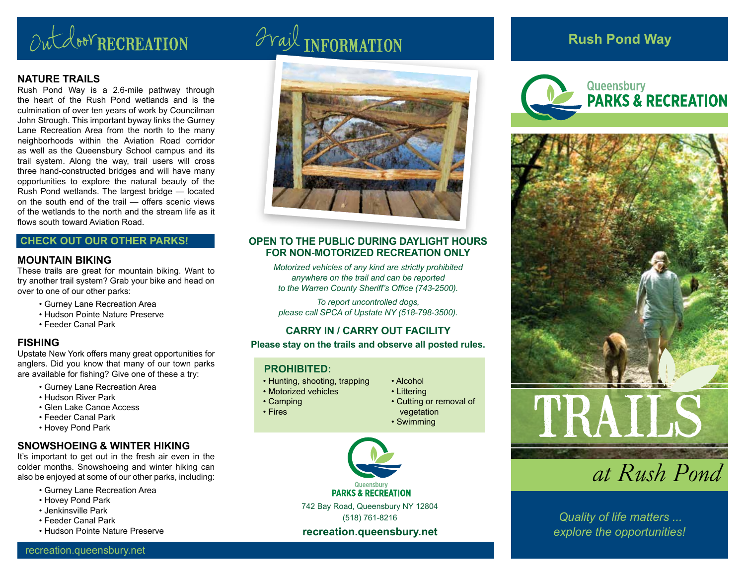# Outdoor RECREATION Trail INFORMATION

#### **NATURE TRAILS**

Rush Pond Way is a 2.6-mile pathway through the heart of the Rush Pond wetlands and is the culmination of over ten years of work by Councilman John Strough. This important byway links the Gurney Lane Recreation Area from the north to the many neighborhoods within the Aviation Road corridor as well as the Queensbury School campus and its trail system. Along the way, trail users will cross three hand-constructed bridges and will have many opportunities to explore the natural beauty of the Rush Pond wetlands. The largest bridge — located on the south end of the trail — offers scenic views of the wetlands to the north and the stream life as it flows south toward Aviation Road.

#### **CHECK OUT OUR OTHER PARKS!**

#### **MOUNTAIN BIKING**

These trails are great for mountain biking. Want to try another trail system? Grab your bike and head on over to one of our other parks:

- Gurney Lane Recreation Area
- Hudson Pointe Nature Preserve
- Feeder Canal Park

#### **FISHING**

Upstate New York offers many great opportunities for anglers. Did you know that many of our town parks are available for fishing? Give one of these a try:

- Gurney Lane Recreation Area
- Hudson River Park
- Glen Lake Canoe Access
- Feeder Canal Park
- Hovey Pond Park

#### **SNOWSHOEING & WINTER HIKING**

It's important to get out in the fresh air even in the colder months. Snowshoeing and winter hiking can also be enjoyed at some of our other parks, including:

- Gurney Lane Recreation Area
- Hovey Pond Park
- Jenkinsville Park
- Feeder Canal Park
- Hudson Pointe Nature Preserve



#### **OPEN TO THE PUBLIC DURING DAYLIGHT HOURS FOR NON-MOTORIZED RECREATION ONLY**

*Motorized vehicles of any kind are strictly prohibited anywhere on the trail and can be reported to the Warren County Sheriff's Office (743-2500).*

*To report uncontrolled dogs, please call SPCA of Upstate NY (518-798-3500).*

#### **CARRY IN / CARRY OUT FACILITY**

**Please stay on the trails and observe all posted rules.**

#### **PROHIBITED:**

- Hunting, shooting, trapping
- Motorized vehicles
- Camping
- Fires

• Littering • Cutting or removal of vegetation • Swimming

• Alcohol



#### **recreation.queensbury.net**

### **Rush Pond Way**







*Quality of life matters ... explore the opportunities!*